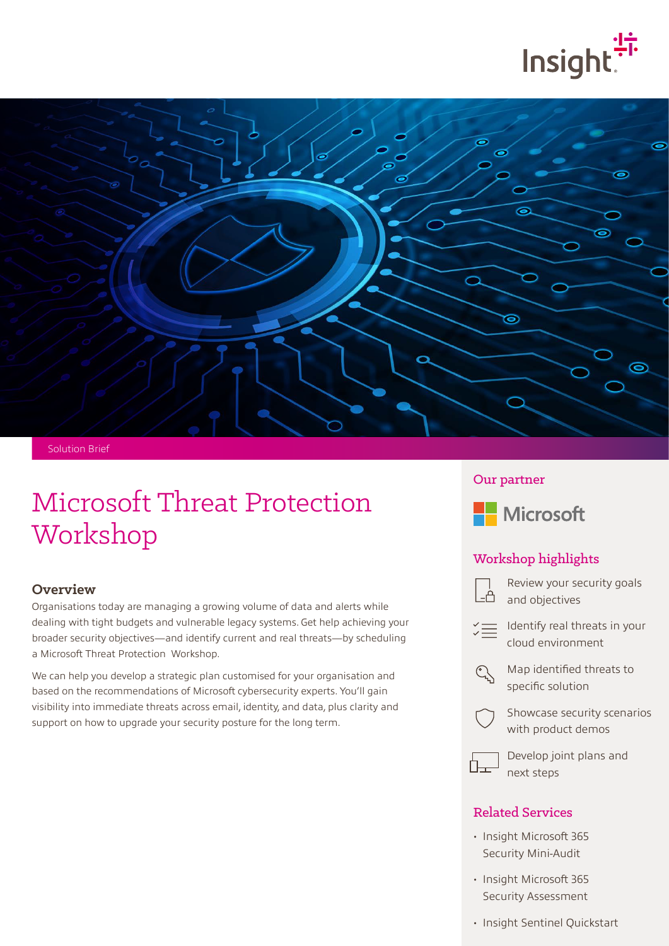



Solution Brief

# Microsoft Threat Protection Workshop

#### **Overview**

Organisations today are managing a growing volume of data and alerts while dealing with tight budgets and vulnerable legacy systems. Get help achieving your broader security objectives—and identify current and real threats—by scheduling a Microsoft Threat Protection Workshop.

We can help you develop a strategic plan customised for your organisation and based on the recommendations of Microsoft cybersecurity experts. You'll gain visibility into immediate threats across email, identity, and data, plus clarity and support on how to upgrade your security posture for the long term.

#### Our partner



#### Workshop highlights



Review your security goals and objectives

Identify real threats in your cloud environment



Map identified threats to specific solution



Showcase security scenarios with product demos



Develop joint plans and next steps

#### Related Services

- Insight Microsoft 365 Security Mini-Audit
- Insight Microsoft 365 Security Assessment
- Insight Sentinel Quickstart